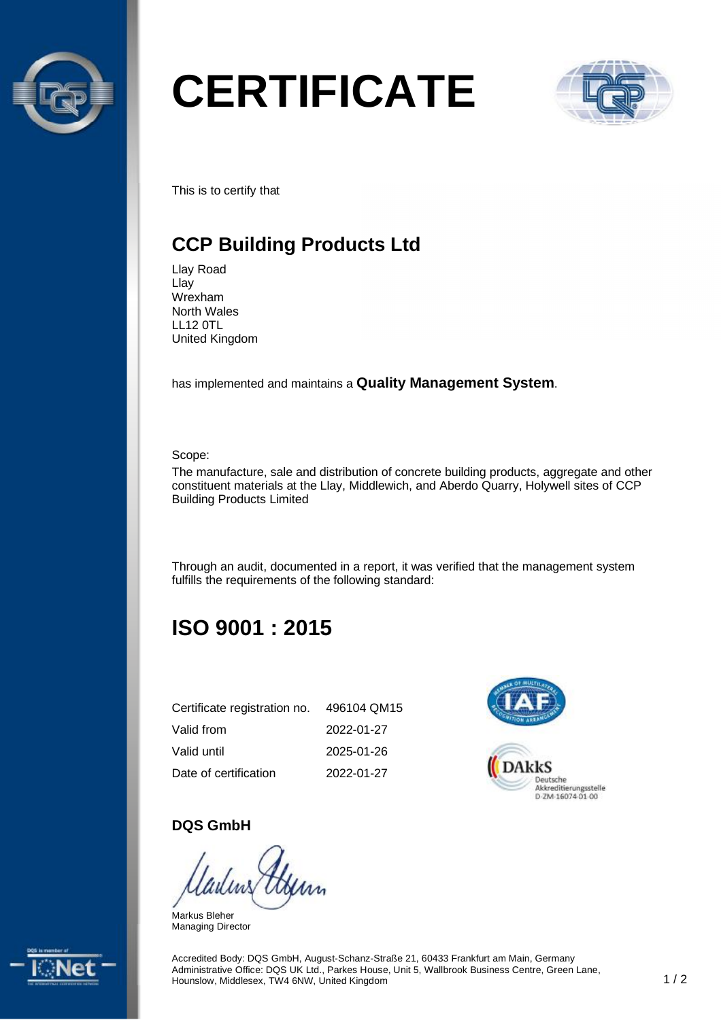

# **CERTIFICATE**



This is to certify that

# **CCP Building Products Ltd**

Llay Road Llay Wrexham North Wales LL12 0TL United Kingdom

has implemented and maintains a **Quality Management System**.

Scope:

The manufacture, sale and distribution of concrete building products, aggregate and other constituent materials at the Llay, Middlewich, and Aberdo Quarry, Holywell sites of CCP Building Products Limited

Through an audit, documented in a report, it was verified that the management system fulfills the requirements of the following standard:

# **ISO 9001 : 2015**

| Certificate registration no. | 496104 QM15 |
|------------------------------|-------------|
| Valid from                   | 2022-01-27  |
| Valid until                  | 2025-01-26  |
| Date of certification        | 2022-01-27  |



#### **DQS GmbH**

Markus Bleher Managing Director



Accredited Body: DQS GmbH, August-Schanz-Straße 21, 60433 Frankfurt am Main, Germany Administrative Office: DQS UK Ltd., Parkes House, Unit 5, Wallbrook Business Centre, Green Lane, Hounslow, Middlesex, TW4 6NW, United Kingdom 1 / 2